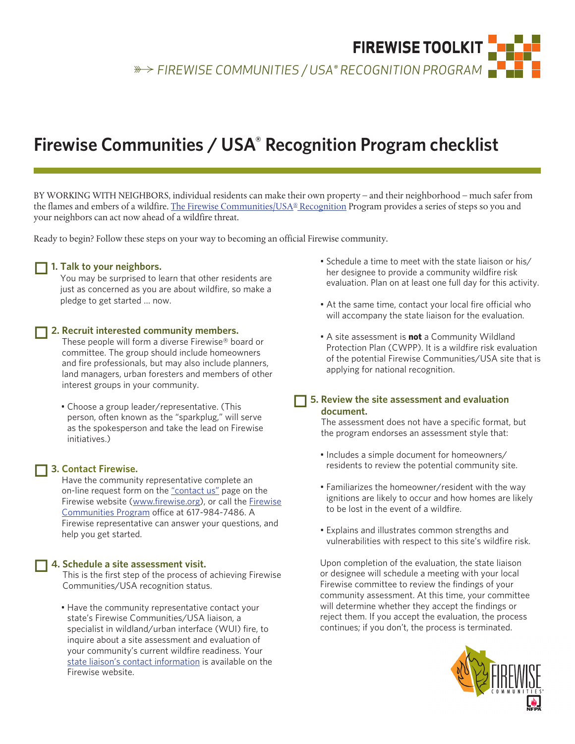**FIREWISE TOOLKIT** s *FIREWISE COMMUNITIES / USA® RECOGNITION PROGRAM*

# **Firewise Communities / USA® Recognition Program checklist**

BY WORKING WITH NEIGHBORS, individual residents can make their own property – and their neighborhood – much safer from the flames and embers of a wildfire. [The Firewise Communities/USA® Recognition Program](http://www.firewise.org/Communities/USA-Recognition-Program.aspx) provides a series of steps so you and your neighbors can act now ahead of a wildfire threat.

Ready to begin? Follow these steps on your way to becoming an official Firewise community.

### 1. Talk to your neighbors.

You may be surprised to learn that other residents are just as concerned as you are about wildfire, so make a pledge to get started … now.

## o **2. Recruit interested community members.**

These people will form a diverse Firewise® board or committee. The group should include homeowners and fire professionals, but may also include planners, land managers, urban foresters and members of other interest groups in your community.

 • Choose a group leader/representative. (This person, often known as the "sparkplug," will serve as the spokesperson and take the lead on Firewise initiatives.)

### o **3. Contact Firewise.**

Have the community representative complete an on-line request form on the ["contact us"](http://www.firewise.org/Contact.aspx) page on the Firewise website ([www.firewise.org\)](http://www.firewise.org), or call the [Firewise](http://www.firewise.org/Communities.aspx)  [Communities](http://www.firewise.org/Communities.aspx) Program office at 617-984-7486. A Firewise representative can answer your questions, and help you get started.

### o **4. Schedule a site assessment visit.**

This is the first step of the process of achieving Firewise Communities/USA recognition status.

 • Have the community representative contact your state's Firewise Communities/USA liaison, a specialist in wildland/urban interface (WUI) fire, to inquire about a site assessment and evaluation of your community's current wildfire readiness. Your [state liaison's contact information](http://www.firewise.org/Contact.aspx) is available on the Firewise website.

- Schedule a time to meet with the state liaison or his/ her designee to provide a community wildfire risk evaluation. Plan on at least one full day for this activity.
- At the same time, contact your local fire official who will accompany the state liaison for the evaluation.
- A site assessment is **not** a Community Wildland Protection Plan (CWPP). It is a wildfire risk evaluation of the potential Firewise Communities/USA site that is applying for national recognition.
- $\Box$  5. Review the site assessment and evaluation **document.**

The assessment does not have a specific format, but the program endorses an assessment style that:

- Includes a simple document for homeowners/ residents to review the potential community site.
- Familiarizes the homeowner/resident with the way ignitions are likely to occur and how homes are likely to be lost in the event of a wildfire.
- Explains and illustrates common strengths and vulnerabilities with respect to this site's wildfire risk.

Upon completion of the evaluation, the state liaison or designee will schedule a meeting with your local Firewise committee to review the findings of your community assessment. At this time, your committee will determine whether they accept the findings or reject them. If you accept the evaluation, the process continues; if you don't, the process is terminated.